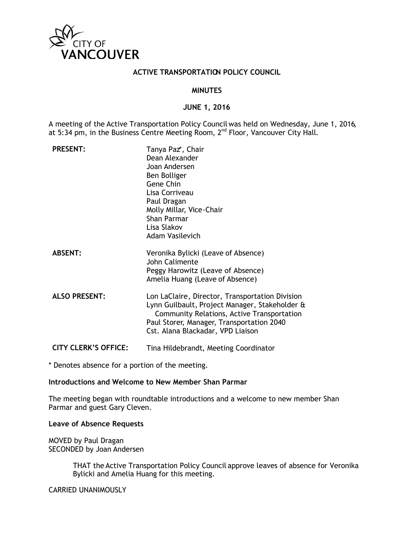

### **ACTIVE TRANSPORTATION POLICY COUNCIL**

### **MINUTES**

### **JUNE 1, 2016**

A meeting of the Active Transportation Policy Council was held on Wednesday, June 1, 2016, at 5:34 pm, in the Business Centre Meeting Room, 2<sup>nd</sup> Floor, Vancouver City Hall.

| <b>PRESENT:</b>      | Tanya Paz*, Chair<br>Dean Alexander<br>Joan Andersen<br>Ben Bolliger<br>Gene Chin<br>Lisa Corriveau<br>Paul Dragan<br>Molly Millar, Vice-Chair<br>Shan Parmar<br>Lisa Slakov<br><b>Adam Vasilevich</b>                            |
|----------------------|-----------------------------------------------------------------------------------------------------------------------------------------------------------------------------------------------------------------------------------|
| <b>ABSENT:</b>       | Veronika Bylicki (Leave of Absence)<br>John Calimente<br>Peggy Harowitz (Leave of Absence)<br>Amelia Huang (Leave of Absence)                                                                                                     |
| <b>ALSO PRESENT:</b> | Lon LaClaire, Director, Transportation Division<br>Lynn Guilbault, Project Manager, Stakeholder &<br>Community Relations, Active Transportation<br>Paul Storer, Manager, Transportation 2040<br>Cst. Alana Blackadar, VPD Liaison |
| CITV CLEDIAR AEEICE. | Tina Ilildahwandt Naating Caavdinatav                                                                                                                                                                                             |

**CITY CLERK'S OFFICE:** Tina Hildebrandt, Meeting Coordinator

\* Denotes absence for a portion of the meeting.

#### **Introductions and Welcome to New Member Shan Parmar**

The meeting began with roundtable introductions and a welcome to new member Shan Parmar and guest Gary Cleven.

#### **Leave of Absence Requests**

MOVED by Paul Dragan SECONDED by Joan Andersen

> THAT the Active Transportation Policy Council approve leaves of absence for Veronika Bylicki and Amelia Huang for this meeting.

CARRIED UNANIMOUSLY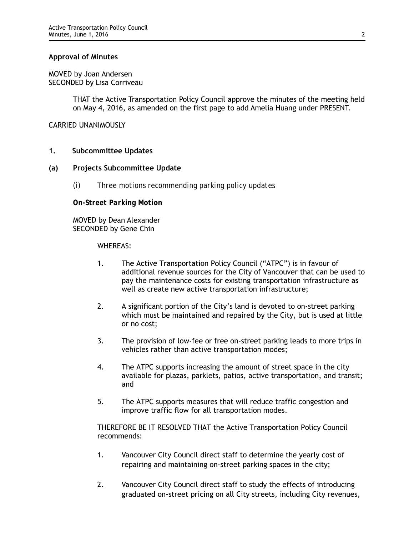### **Approval of Minutes**

MOVED by Joan Andersen SECONDED by Lisa Corriveau

> THAT the Active Transportation Policy Council approve the minutes of the meeting held on May 4, 2016, as amended on the first page to add Amelia Huang under PRESENT.

CARRIED UNANIMOUSLY

### **1. Subcommittee Updates**

### **(a) Projects Subcommittee Update**

*(i) Three motions recommending parking policy updates*

*On-Street Parking Motion*

MOVED by Dean Alexander SECONDED by Gene Chin

WHEREAS:

- 1. The Active Transportation Policy Council ("ATPC") is in favour of additional revenue sources for the City of Vancouver that can be used to pay the maintenance costs for existing transportation infrastructure as well as create new active transportation infrastructure;
- 2. A significant portion of the City's land is devoted to on-street parking which must be maintained and repaired by the City, but is used at little or no cost;
- 3. The provision of low-fee or free on-street parking leads to more trips in vehicles rather than active transportation modes;
- 4. The ATPC supports increasing the amount of street space in the city available for plazas, parklets, patios, active transportation, and transit; and
- 5. The ATPC supports measures that will reduce traffic congestion and improve traffic flow for all transportation modes.

THEREFORE BE IT RESOLVED THAT the Active Transportation Policy Council recommends:

- 1. Vancouver City Council direct staff to determine the yearly cost of repairing and maintaining on-street parking spaces in the city;
- 2. Vancouver City Council direct staff to study the effects of introducing graduated on-street pricing on all City streets, including City revenues,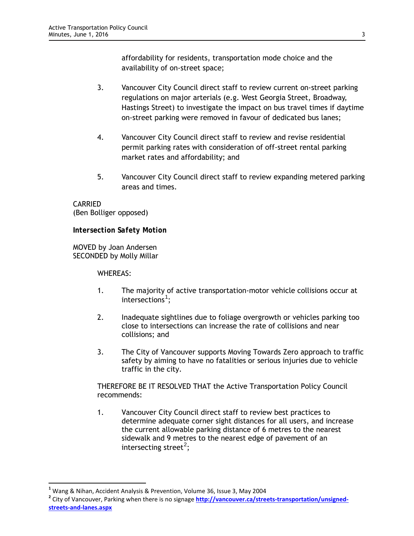affordability for residents, transportation mode choice and the availability of on-street space;

- 3. Vancouver City Council direct staff to review current on-street parking regulations on major arterials (e.g. West Georgia Street, Broadway, Hastings Street) to investigate the impact on bus travel times if daytime on-street parking were removed in favour of dedicated bus lanes;
- 4. Vancouver City Council direct staff to review and revise residential permit parking rates with consideration of off-street rental parking market rates and affordability; and
- 5. Vancouver City Council direct staff to review expanding metered parking areas and times.

CARRIED (Ben Bolliger opposed)

*Intersection Safety Motion*

MOVED by Joan Andersen SECONDED by Molly Millar

WHEREAS:

 $\overline{a}$ 

- 1. The majority of active transportation-motor vehicle collisions occur at intersections $^1;$  $^1;$  $^1;$
- 2. Inadequate sightlines due to foliage overgrowth or vehicles parking too close to intersections can increase the rate of collisions and near collisions; and
- 3. The City of Vancouver supports Moving Towards Zero approach to traffic safety by aiming to have no fatalities or serious injuries due to vehicle traffic in the city.

THEREFORE BE IT RESOLVED THAT the Active Transportation Policy Council recommends:

1. Vancouver City Council direct staff to review best practices to determine adequate corner sight distances for all users, and increase the current allowable parking distance of 6 metres to the nearest sidewalk and 9 metres to the nearest edge of pavement of an intersecting street<sup>[2](#page-2-1)</sup>;

<span id="page-2-1"></span><span id="page-2-0"></span>

<sup>&</sup>lt;sup>1</sup> Wang & Nihan, Accident Analysis & Prevention, Volume 36, Issue 3, May 2004<br><sup>2</sup> City of Vancouver, Parking when there is no signage **[http://vancouver.ca/streets-transportation/unsigned](http://vancouver.ca/streets-transportation/unsigned-streets-and-lanes.aspx)[streets-and-lanes.aspx](http://vancouver.ca/streets-transportation/unsigned-streets-and-lanes.aspx)**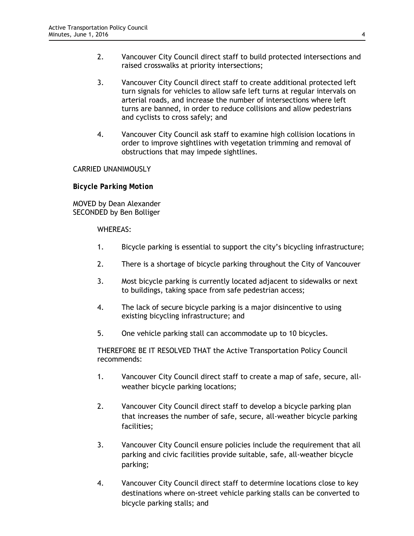- 2. Vancouver City Council direct staff to build protected intersections and raised crosswalks at priority intersections;
- 3. Vancouver City Council direct staff to create additional protected left turn signals for vehicles to allow safe left turns at regular intervals on arterial roads, and increase the number of intersections where left turns are banned, in order to reduce collisions and allow pedestrians and cyclists to cross safely; and
- 4. Vancouver City Council ask staff to examine high collision locations in order to improve sightlines with vegetation trimming and removal of obstructions that may impede sightlines.

#### CARRIED UNANIMOUSLY

*Bicycle Parking Motion* 

MOVED by Dean Alexander SECONDED by Ben Bolliger

#### WHEREAS:

- 1. Bicycle parking is essential to support the city's bicycling infrastructure;
- 2. There is a shortage of bicycle parking throughout the City of Vancouver
- 3. Most bicycle parking is currently located adjacent to sidewalks or next to buildings, taking space from safe pedestrian access;
- 4. The lack of secure bicycle parking is a major disincentive to using existing bicycling infrastructure; and
- 5. One vehicle parking stall can accommodate up to 10 bicycles.

THEREFORE BE IT RESOLVED THAT the Active Transportation Policy Council recommends:

- 1. Vancouver City Council direct staff to create a map of safe, secure, allweather bicycle parking locations;
- 2. Vancouver City Council direct staff to develop a bicycle parking plan that increases the number of safe, secure, all-weather bicycle parking facilities;
- 3. Vancouver City Council ensure policies include the requirement that all parking and civic facilities provide suitable, safe, all-weather bicycle parking;
- 4. Vancouver City Council direct staff to determine locations close to key destinations where on-street vehicle parking stalls can be converted to bicycle parking stalls; and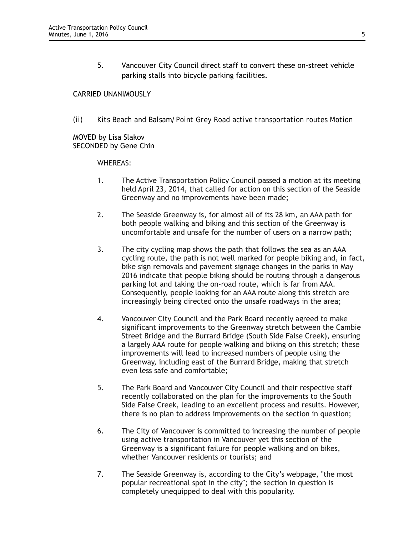5. Vancouver City Council direct staff to convert these on-street vehicle parking stalls into bicycle parking facilities.

## CARRIED UNANIMOUSLY

*(ii) Kits Beach and Balsam/Point Grey Road active transportation routes Motion*

MOVED by Lisa Slakov SECONDED by Gene Chin

### WHEREAS:

- 1. The Active Transportation Policy Council passed a motion at its meeting held April 23, 2014, that called for action on this section of the Seaside Greenway and no improvements have been made;
- 2. The Seaside Greenway is, for almost all of its 28 km, an AAA path for both people walking and biking and this section of the Greenway is uncomfortable and unsafe for the number of users on a narrow path;
- 3. The city cycling map shows the path that follows the sea as an AAA cycling route, the path is not well marked for people biking and, in fact, bike sign removals and pavement signage changes in the parks in May 2016 indicate that people biking should be routing through a dangerous parking lot and taking the on-road route, which is far from AAA. Consequently, people looking for an AAA route along this stretch are increasingly being directed onto the unsafe roadways in the area;
- 4. Vancouver City Council and the Park Board recently agreed to make significant improvements to the Greenway stretch between the Cambie Street Bridge and the Burrard Bridge (South Side False Creek), ensuring a largely AAA route for people walking and biking on this stretch; these improvements will lead to increased numbers of people using the Greenway, including east of the Burrard Bridge, making that stretch even less safe and comfortable;
- 5. The Park Board and Vancouver City Council and their respective staff recently collaborated on the plan for the improvements to the South Side False Creek, leading to an excellent process and results. However, there is no plan to address improvements on the section in question;
- 6. The City of Vancouver is committed to increasing the number of people using active transportation in Vancouver yet this section of the Greenway is a significant failure for people walking and on bikes, whether Vancouver residents or tourists; and
- 7. The Seaside Greenway is, according to the City's webpage, "the most popular recreational spot in the city"; the section in question is completely unequipped to deal with this popularity.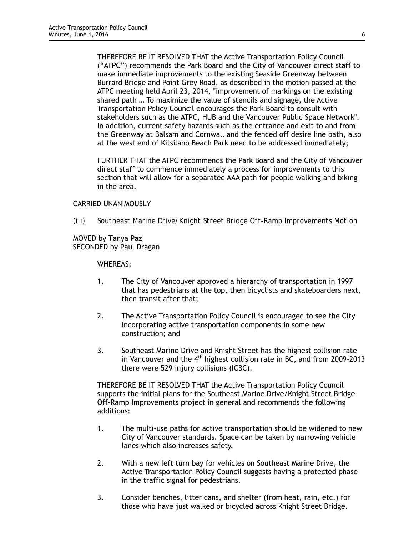THEREFORE BE IT RESOLVED THAT the Active Transportation Policy Council ("ATPC") recommends the Park Board and the City of Vancouver direct staff to make immediate improvements to the existing Seaside Greenway between Burrard Bridge and Point Grey Road, as described in the motion passed at the ATPC meeting held April 23, 2014, "improvement of markings on the existing shared path … To maximize the value of stencils and signage, the Active Transportation Policy Council encourages the Park Board to consult with stakeholders such as the ATPC, HUB and the Vancouver Public Space Network". In addition, current safety hazards such as the entrance and exit to and from the Greenway at Balsam and Cornwall and the fenced off desire line path, also at the west end of Kitsilano Beach Park need to be addressed immediately;

FURTHER THAT the ATPC recommends the Park Board and the City of Vancouver direct staff to commence immediately a process for improvements to this section that will allow for a separated AAA path for people walking and biking in the area.

#### CARRIED UNANIMOUSLY

*(iii) Southeast Marine Drive/Knight Street Bridge Off-Ramp Improvements Motion*

MOVED by Tanya Paz SECONDED by Paul Dragan

WHEREAS:

- 1. The City of Vancouver approved a hierarchy of transportation in 1997 that has pedestrians at the top, then bicyclists and skateboarders next, then transit after that;
- 2. The Active Transportation Policy Council is encouraged to see the City incorporating active transportation components in some new construction; and
- 3. Southeast Marine Drive and Knight Street has the highest collision rate in Vancouver and the  $4<sup>th</sup>$  highest collision rate in BC, and from 2009-2013 there were 529 injury collisions (ICBC).

THEREFORE BE IT RESOLVED THAT the Active Transportation Policy Council supports the initial plans for the Southeast Marine Drive/Knight Street Bridge Off-Ramp Improvements project in general and recommends the following additions:

- 1. The multi-use paths for active transportation should be widened to new City of Vancouver standards. Space can be taken by narrowing vehicle lanes which also increases safety.
- 2. With a new left turn bay for vehicles on Southeast Marine Drive, the Active Transportation Policy Council suggests having a protected phase in the traffic signal for pedestrians.
- 3. Consider benches, litter cans, and shelter (from heat, rain, etc.) for those who have just walked or bicycled across Knight Street Bridge.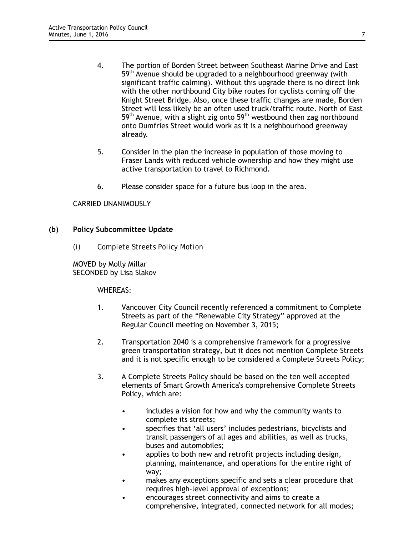- 4. The portion of Borden Street between Southeast Marine Drive and East 59<sup>th</sup> Avenue should be upgraded to a neighbourhood greenway (with significant traffic calming). Without this upgrade there is no direct link with the other northbound City bike routes for cyclists coming off the Knight Street Bridge. Also, once these traffic changes are made, Borden Street will less likely be an often used truck/traffic route. North of East 59<sup>th</sup> Avenue, with a slight zig onto 59<sup>th</sup> westbound then zag northbound onto Dumfries Street would work as it is a neighbourhood greenway already.
- 5. Consider in the plan the increase in population of those moving to Fraser Lands with reduced vehicle ownership and how they might use active transportation to travel to Richmond.
- 6. Please consider space for a future bus loop in the area.

### CARRIED UNANIMOUSLY

#### **(b) Policy Subcommittee Update**

*(i) Complete Streets Policy Motion*

MOVED by Molly Millar SECONDED by Lisa Slakov

#### WHEREAS:

- 1. Vancouver City Council recently referenced a commitment to Complete Streets as part of the "Renewable City Strategy" approved at the Regular Council meeting on November 3, 2015;
- 2. Transportation 2040 is a comprehensive framework for a progressive green transportation strategy, but it does not mention Complete Streets and it is not specific enough to be considered a Complete Streets Policy;
- 3. A Complete Streets Policy should be based on the ten well accepted elements of Smart Growth America's comprehensive Complete Streets Policy, which are:
	- includes a vision for how and why the community wants to complete its streets;
	- specifies that 'all users' includes pedestrians, bicyclists and transit passengers of all ages and abilities, as well as trucks, buses and automobiles;
	- applies to both new and retrofit projects including design, planning, maintenance, and operations for the entire right of way;
	- makes any exceptions specific and sets a clear procedure that requires high-level approval of exceptions;
	- encourages street connectivity and aims to create a comprehensive, integrated, connected network for all modes;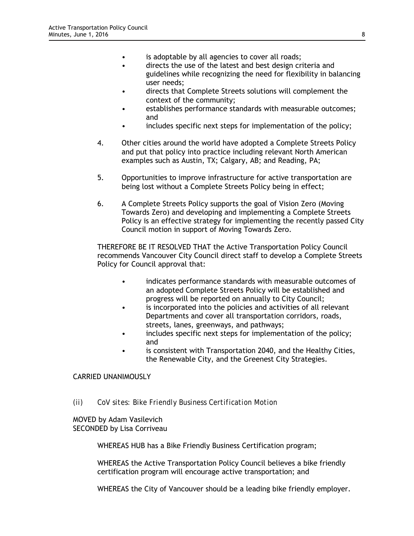- is adoptable by all agencies to cover all roads;
- directs the use of the latest and best design criteria and guidelines while recognizing the need for flexibility in balancing user needs;
- directs that Complete Streets solutions will complement the context of the community;
- establishes performance standards with measurable outcomes; and
- includes specific next steps for implementation of the policy;
- 4. Other cities around the world have adopted a Complete Streets Policy and put that policy into practice including relevant North American examples such as Austin, TX; Calgary, AB; and Reading, PA;
- 5. Opportunities to improve infrastructure for active transportation are being lost without a Complete Streets Policy being in effect;
- 6. A Complete Streets Policy supports the goal of Vision Zero (Moving Towards Zero) and developing and implementing a Complete Streets Policy is an effective strategy for implementing the recently passed City Council motion in support of Moving Towards Zero.

THEREFORE BE IT RESOLVED THAT the Active Transportation Policy Council recommends Vancouver City Council direct staff to develop a Complete Streets Policy for Council approval that:

- indicates performance standards with measurable outcomes of an adopted Complete Streets Policy will be established and progress will be reported on annually to City Council;
- is incorporated into the policies and activities of all relevant Departments and cover all transportation corridors, roads, streets, lanes, greenways, and pathways;
- includes specific next steps for implementation of the policy; and
- is consistent with Transportation 2040, and the Healthy Cities, the Renewable City, and the Greenest City Strategies.

## CARRIED UNANIMOUSLY

*(ii) CoV sites: Bike Friendly Business Certification Motion*

MOVED by Adam Vasilevich SECONDED by Lisa Corriveau

WHEREAS HUB has a Bike Friendly Business Certification program;

WHEREAS the Active Transportation Policy Council believes a bike friendly certification program will encourage active transportation; and

WHEREAS the City of Vancouver should be a leading bike friendly employer.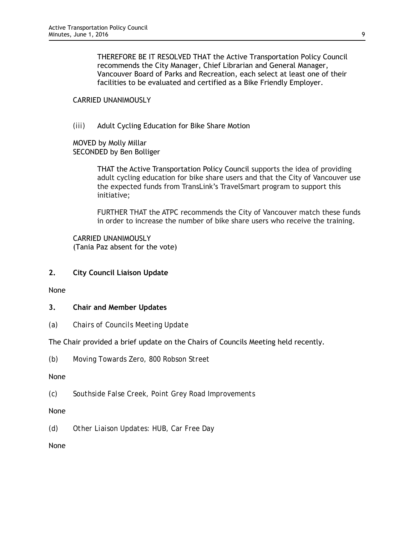THEREFORE BE IT RESOLVED THAT the Active Transportation Policy Council recommends the City Manager, Chief Librarian and General Manager, Vancouver Board of Parks and Recreation, each select at least one of their facilities to be evaluated and certified as a Bike Friendly Employer.

## CARRIED UNANIMOUSLY

*(iii)* Adult Cycling Education for Bike Share Motion

MOVED by Molly Millar SECONDED by Ben Bolliger

> THAT the Active Transportation Policy Council supports the idea of providing adult cycling education for bike share users and that the City of Vancouver use the expected funds from TransLink's TravelSmart program to support this initiative;

> FURTHER THAT the ATPC recommends the City of Vancouver match these funds in order to increase the number of bike share users who receive the training.

CARRIED UNANIMOUSLY (Tania Paz absent for the vote)

**2. City Council Liaison Update**

None

- **3. Chair and Member Updates**
- *(a) Chairs of Councils Meeting Update*

The Chair provided a brief update on the Chairs of Councils Meeting held recently.

*(b) Moving Towards Zero, 800 Robson Street*

None

*(c) Southside False Creek, Point Grey Road Improvements*

None

*(d) Other Liaison Updates: HUB, Car Free Day*

None